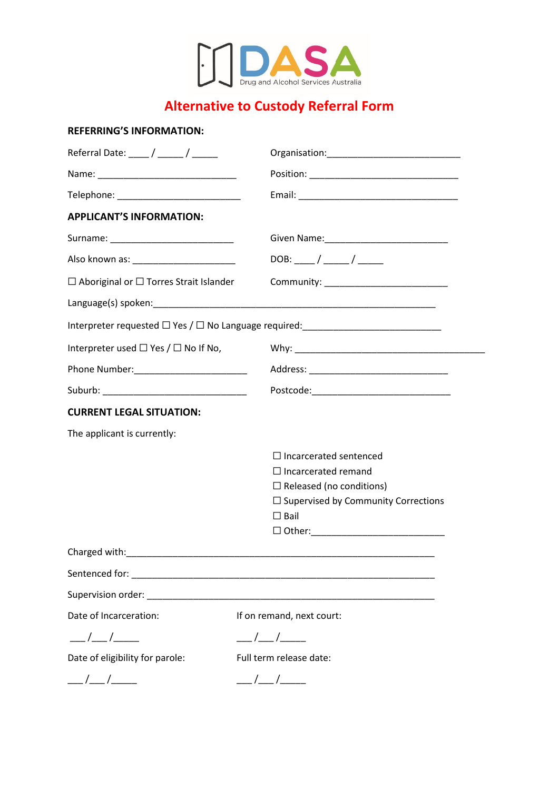

# **Alternative to Custody Referral Form**

# **REFERRING'S INFORMATION:**

| Referral Date: ____ / _____ / _____                |                                                                                  |
|----------------------------------------------------|----------------------------------------------------------------------------------|
|                                                    |                                                                                  |
|                                                    |                                                                                  |
| <b>APPLICANT'S INFORMATION:</b>                    |                                                                                  |
|                                                    |                                                                                  |
|                                                    | $DOB:$ ____/ ____/ _____                                                         |
| $\Box$ Aboriginal or $\Box$ Torres Strait Islander |                                                                                  |
|                                                    |                                                                                  |
|                                                    | Interpreter requested □ Yes / □ No Language required: __________________________ |
| Interpreter used $\Box$ Yes / $\Box$ No If No,     |                                                                                  |
|                                                    |                                                                                  |
|                                                    |                                                                                  |
| <b>CURRENT LEGAL SITUATION:</b>                    |                                                                                  |
| The applicant is currently:                        |                                                                                  |
|                                                    | $\Box$ Incarcerated sentenced                                                    |
|                                                    | $\Box$ Incarcerated remand                                                       |
|                                                    | $\Box$ Released (no conditions)                                                  |
|                                                    | $\Box$ Supervised by Community Corrections                                       |
|                                                    | $\square$ Bail                                                                   |
|                                                    |                                                                                  |
|                                                    |                                                                                  |
| Sentenced for:                                     |                                                                                  |
|                                                    |                                                                                  |
| Date of Incarceration:                             | If on remand, next court:                                                        |
|                                                    | ___/___/____                                                                     |
| Date of eligibility for parole:                    | Full term release date:                                                          |
| $\frac{\frac{1}{2}}{\frac{1}{2}}$                  | $\frac{\frac{1}{2}}{2}$                                                          |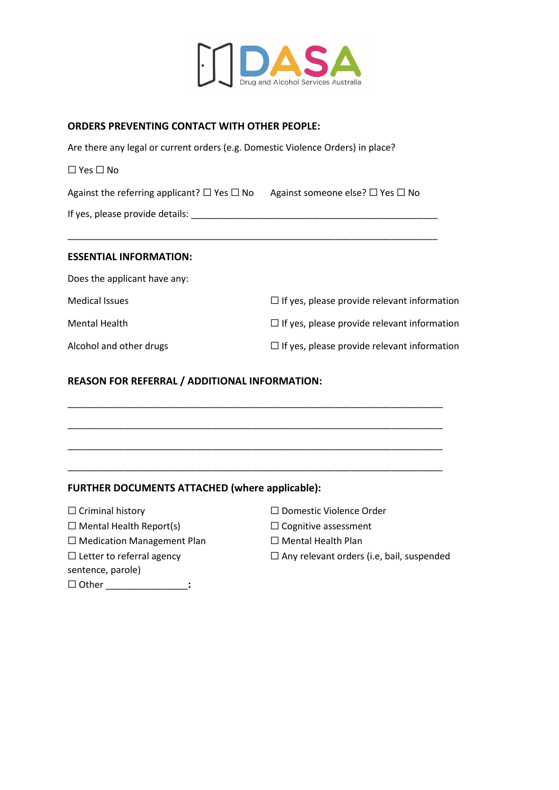

## **ORDERS PREVENTING CONTACT WITH OTHER PEOPLE:**

Are there any legal or current orders (e.g. Domestic Violence Orders) in place?

☐ Yes ☐ No

Against the referring applicant?  $\Box$  Yes  $\Box$  No Against someone else?  $\Box$  Yes  $\Box$  No

\_\_\_\_\_\_\_\_\_\_\_\_\_\_\_\_\_\_\_\_\_\_\_\_\_\_\_\_\_\_\_\_\_\_\_\_\_\_\_\_\_\_\_\_\_\_\_\_\_\_\_\_\_\_\_\_\_\_\_\_\_\_\_\_\_\_\_\_\_\_\_\_

If yes, please provide details: \_\_\_\_\_\_\_\_\_\_\_\_\_\_\_\_\_\_\_\_\_\_\_\_\_\_\_\_\_\_\_\_\_\_\_\_\_\_\_\_\_\_\_\_\_\_\_\_

#### **ESSENTIAL INFORMATION:**

| Does the applicant have any: |                                                    |
|------------------------------|----------------------------------------------------|
| <b>Medical Issues</b>        | $\Box$ If yes, please provide relevant information |
| <b>Mental Health</b>         | $\Box$ If yes, please provide relevant information |
| Alcohol and other drugs      | $\Box$ If yes, please provide relevant information |

\_\_\_\_\_\_\_\_\_\_\_\_\_\_\_\_\_\_\_\_\_\_\_\_\_\_\_\_\_\_\_\_\_\_\_\_\_\_\_\_\_\_\_\_\_\_\_\_\_\_\_\_\_\_\_\_\_\_\_\_\_\_\_\_\_\_\_\_\_\_\_\_\_

\_\_\_\_\_\_\_\_\_\_\_\_\_\_\_\_\_\_\_\_\_\_\_\_\_\_\_\_\_\_\_\_\_\_\_\_\_\_\_\_\_\_\_\_\_\_\_\_\_\_\_\_\_\_\_\_\_\_\_\_\_\_\_\_\_\_\_\_\_\_\_\_\_

\_\_\_\_\_\_\_\_\_\_\_\_\_\_\_\_\_\_\_\_\_\_\_\_\_\_\_\_\_\_\_\_\_\_\_\_\_\_\_\_\_\_\_\_\_\_\_\_\_\_\_\_\_\_\_\_\_\_\_\_\_\_\_\_\_\_\_\_\_\_\_\_\_

\_\_\_\_\_\_\_\_\_\_\_\_\_\_\_\_\_\_\_\_\_\_\_\_\_\_\_\_\_\_\_\_\_\_\_\_\_\_\_\_\_\_\_\_\_\_\_\_\_\_\_\_\_\_\_\_\_\_\_\_\_\_\_\_\_\_\_\_\_\_\_\_\_

#### **REASON FOR REFERRAL / ADDITIONAL INFORMATION:**

#### **FURTHER DOCUMENTS ATTACHED (where applicable):**

☐ Mental Health Report(s) ☐ Cognitive assessment

☐ Medication Management Plan ☐ Mental Health Plan

sentence, parole)

☐ Other \_\_\_\_\_\_\_\_\_\_\_\_\_\_\_\_**:**

- ☐ Criminal history ☐ Domestic Violence Order
	-
	-
- ☐ Letter to referral agency ☐ Any relevant orders (i.e, bail, suspended